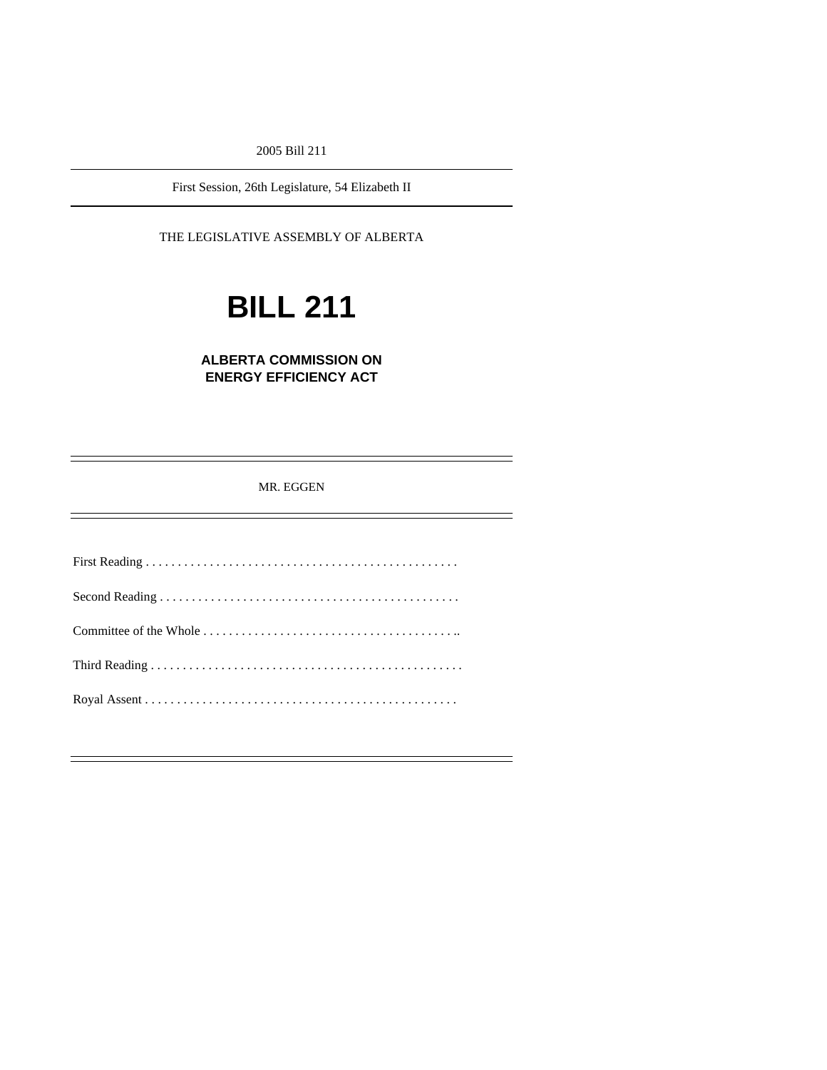2005 Bill 211

First Session, 26th Legislature, 54 Elizabeth II

THE LEGISLATIVE ASSEMBLY OF ALBERTA

# **BILL 211**

### **ALBERTA COMMISSION ON ENERGY EFFICIENCY ACT**

MR. EGGEN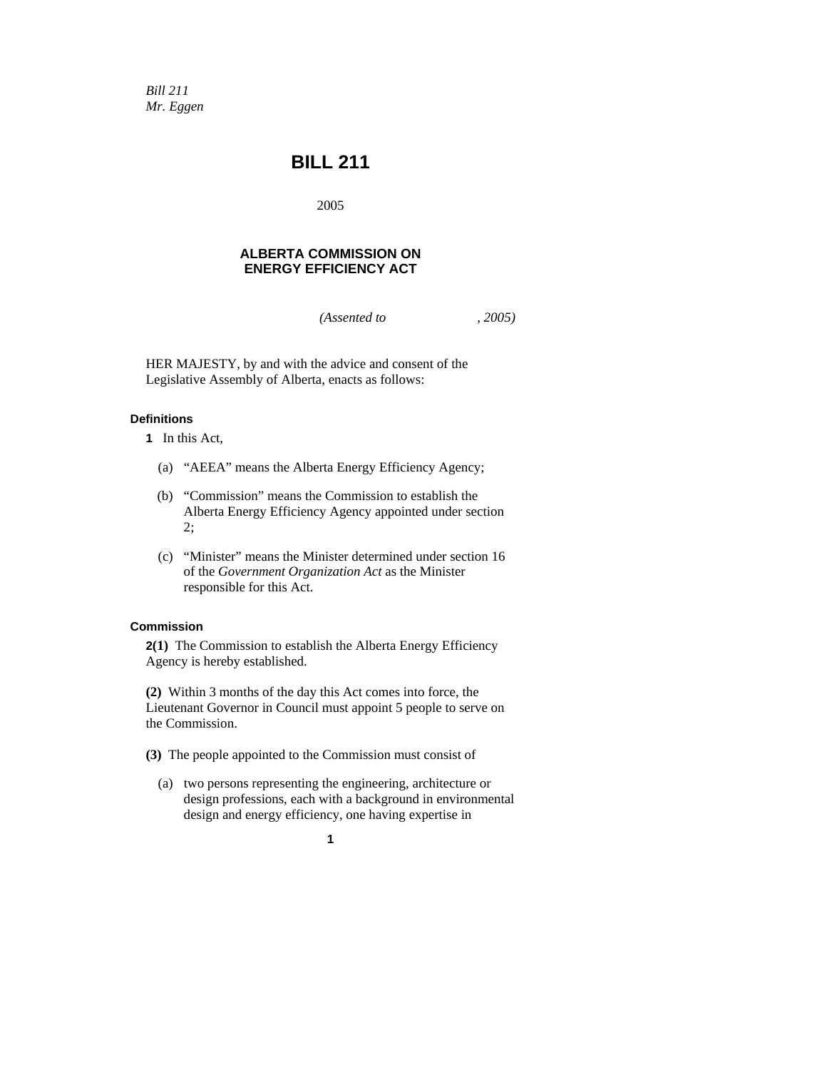*Bill 211 Mr. Eggen* 

## **BILL 211**

2005

#### **ALBERTA COMMISSION ON ENERGY EFFICIENCY ACT**

*(Assented to , 2005)* 

HER MAJESTY, by and with the advice and consent of the Legislative Assembly of Alberta, enacts as follows:

#### **Definitions**

- **1** In this Act,
	- (a) "AEEA" means the Alberta Energy Efficiency Agency;
	- (b) "Commission" means the Commission to establish the Alberta Energy Efficiency Agency appointed under section 2;
	- (c) "Minister" means the Minister determined under section 16 of the *Government Organization Act* as the Minister responsible for this Act.

#### **Commission**

**2(1)** The Commission to establish the Alberta Energy Efficiency Agency is hereby established.

**(2)** Within 3 months of the day this Act comes into force, the Lieutenant Governor in Council must appoint 5 people to serve on the Commission.

**(3)** The people appointed to the Commission must consist of

 (a) two persons representing the engineering, architecture or design professions, each with a background in environmental design and energy efficiency, one having expertise in

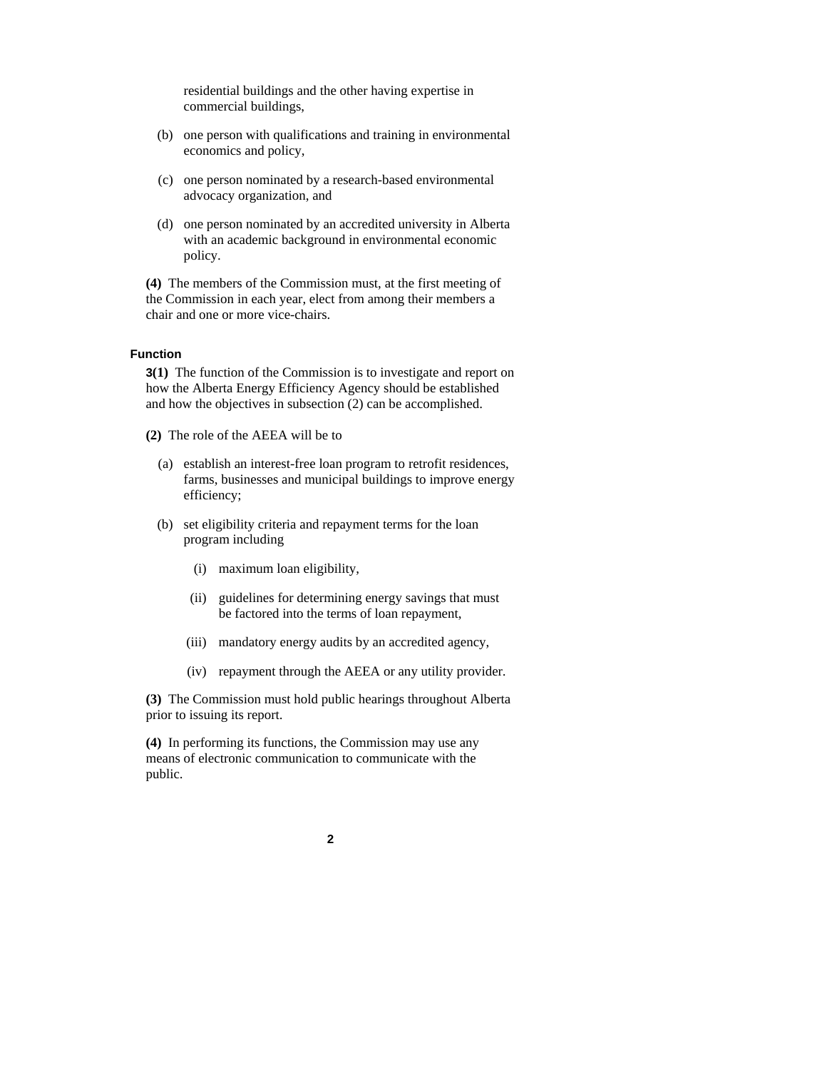residential buildings and the other having expertise in commercial buildings,

- (b) one person with qualifications and training in environmental economics and policy,
- (c) one person nominated by a research-based environmental advocacy organization, and
- (d) one person nominated by an accredited university in Alberta with an academic background in environmental economic policy.

**(4)** The members of the Commission must, at the first meeting of the Commission in each year, elect from among their members a chair and one or more vice-chairs.

#### **Function**

**3(1)** The function of the Commission is to investigate and report on how the Alberta Energy Efficiency Agency should be established and how the objectives in subsection (2) can be accomplished.

**(2)** The role of the AEEA will be to

- (a) establish an interest-free loan program to retrofit residences, farms, businesses and municipal buildings to improve energy efficiency;
- (b) set eligibility criteria and repayment terms for the loan program including
	- (i) maximum loan eligibility,
	- (ii) guidelines for determining energy savings that must be factored into the terms of loan repayment,
	- (iii) mandatory energy audits by an accredited agency,
	- (iv) repayment through the AEEA or any utility provider.

**(3)** The Commission must hold public hearings throughout Alberta prior to issuing its report.

**(4)** In performing its functions, the Commission may use any means of electronic communication to communicate with the public.